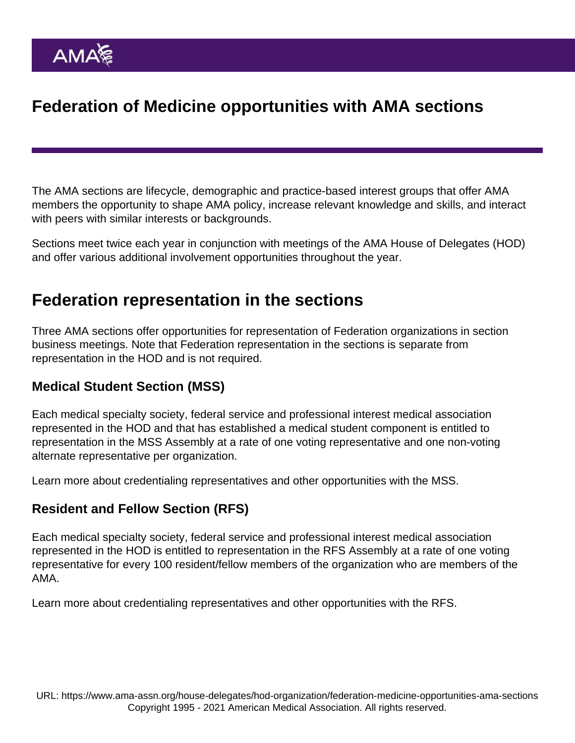# Federation of Medicine opportunities with AMA sections

The [AMA sections](https://www.ama-assn.org/member-groups-sections) are lifecycle, demographic and practice-based interest groups that offer AMA members the opportunity to shape AMA policy, increase relevant knowledge and skills, and interact with peers with similar interests or backgrounds.

Sections meet twice each year in conjunction with meetings of the [AMA House of Delegates](https://www.ama-assn.org/house-delegates/hod-organization/delegates-federation-societies) (HOD) and offer various additional involvement opportunities throughout the year.

### Federation representation in the sections

Three AMA sections offer opportunities for representation of Federation organizations in section business meetings. Note that Federation representation in the sections is separate from [representation in the HOD](https://www.ama-assn.org/house-delegates/hod-organization/delegates-federation-societies) and is not required.

#### Medical Student Section (MSS)

Each medical specialty society, federal service and professional interest medical association represented in the HOD and that has established a medical student component is entitled to representation in the MSS Assembly at a rate of one voting representative and one non-voting alternate representative per organization.

[Learn more about credentialing representatives and other opportunities with the MSS.](https://www.ama-assn.org/residents-students/medical-school-life/medical-student-leadership-opportunities)

#### Resident and Fellow Section (RFS)

Each medical specialty society, federal service and professional interest medical association represented in the HOD is entitled to representation in the RFS Assembly at a rate of one voting representative for every 100 resident/fellow members of the organization who are members of the AMA.

[Learn more about credentialing representatives and other opportunities with the RFS.](https://www.ama-assn.org/residents-students/residency/resident-fellow-leadership-opportunities)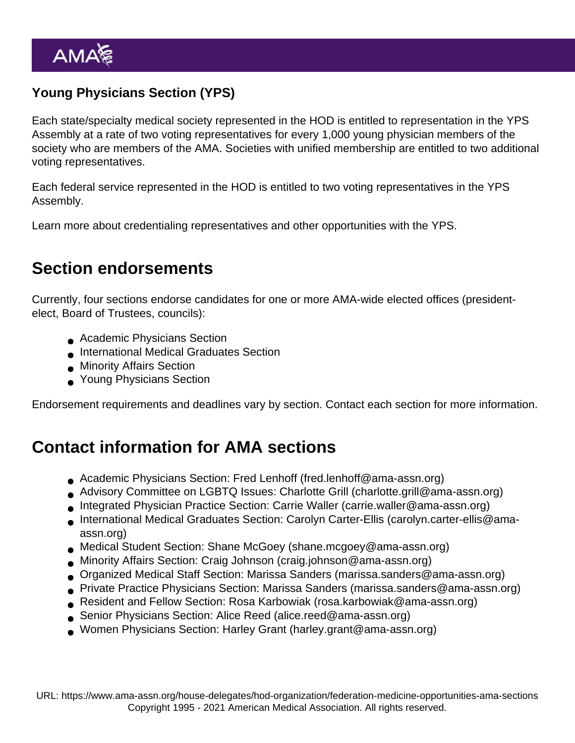### Young Physicians Section (YPS)

Each state/specialty medical society represented in the HOD is entitled to representation in the YPS Assembly at a rate of two voting representatives for every 1,000 young physician members of the society who are members of the AMA. Societies with unified membership are entitled to two additional voting representatives.

Each federal service represented in the HOD is entitled to two voting representatives in the YPS Assembly.

[Learn more about credentialing representatives and other opportunities with the YPS.](https://www.ama-assn.org/member-groups-sections/young-physicians/young-physicians-section-yps-leadership-opportunities)

## Section endorsements

Currently, four sections endorse candidates for one or more AMA-wide elected offices (presidentelect, Board of Trustees, councils):

- Academic Physicians Section
- International Medical Graduates Section
- **Minority Affairs Section**
- Young Physicians Section

Endorsement requirements and deadlines vary by section. Contact each section for more information.

## Contact information for AMA sections

- Academic Physicians Section: Fred Lenhoff ([fred.lenhoff@ama-assn.org](mailto:fred.lenhoff@ama-assn.org))
- Advisory Committee on LGBTQ Issues: Charlotte Grill [\(charlotte.grill@ama-assn.org\)](mailto:charlotte.grill@ama-assn.org)
- Integrated Physician Practice Section: Carrie Waller ([carrie.waller@ama-assn.org\)](mailto:carrie.waller@ama-assn.org)
- International Medical Graduates Section: Carolyn Carter-Ellis [\(carolyn.carter-ellis@ama](mailto:carolyn.carter-ellis@ama-assn.org)[assn.org](mailto:carolyn.carter-ellis@ama-assn.org))
- Medical Student Section: Shane McGoey [\(shane.mcgoey@ama-assn.org\)](mailto:shane.mcgoey@ama-assn.org)
- Minority Affairs Section: Craig Johnson [\(craig.johnson@ama-assn.org\)](mailto:craig.johnson@ama-assn.org)
- Organized Medical Staff Section: Marissa Sanders [\(marissa.sanders@ama-assn.org](mailto:marissa.sanders@ama-assn.org))
- Private Practice Physicians Section: Marissa Sanders [\(marissa.sanders@ama-assn.org\)](mailto:marissa.sanders@ama-assn.org)
- Resident and Fellow Section: Rosa Karbowiak [\(rosa.karbowiak@ama-assn.org\)](mailto:rosa.karbowiak@ama-assn.org)
- Senior Physicians Section: Alice Reed ([alice.reed@ama-assn.org](mailto:alice.reed@ama-assn.org))
- Women Physicians Section: Harley Grant [\(harley.grant@ama-assn.org](mailto:harley.grant@ama-assn.org))